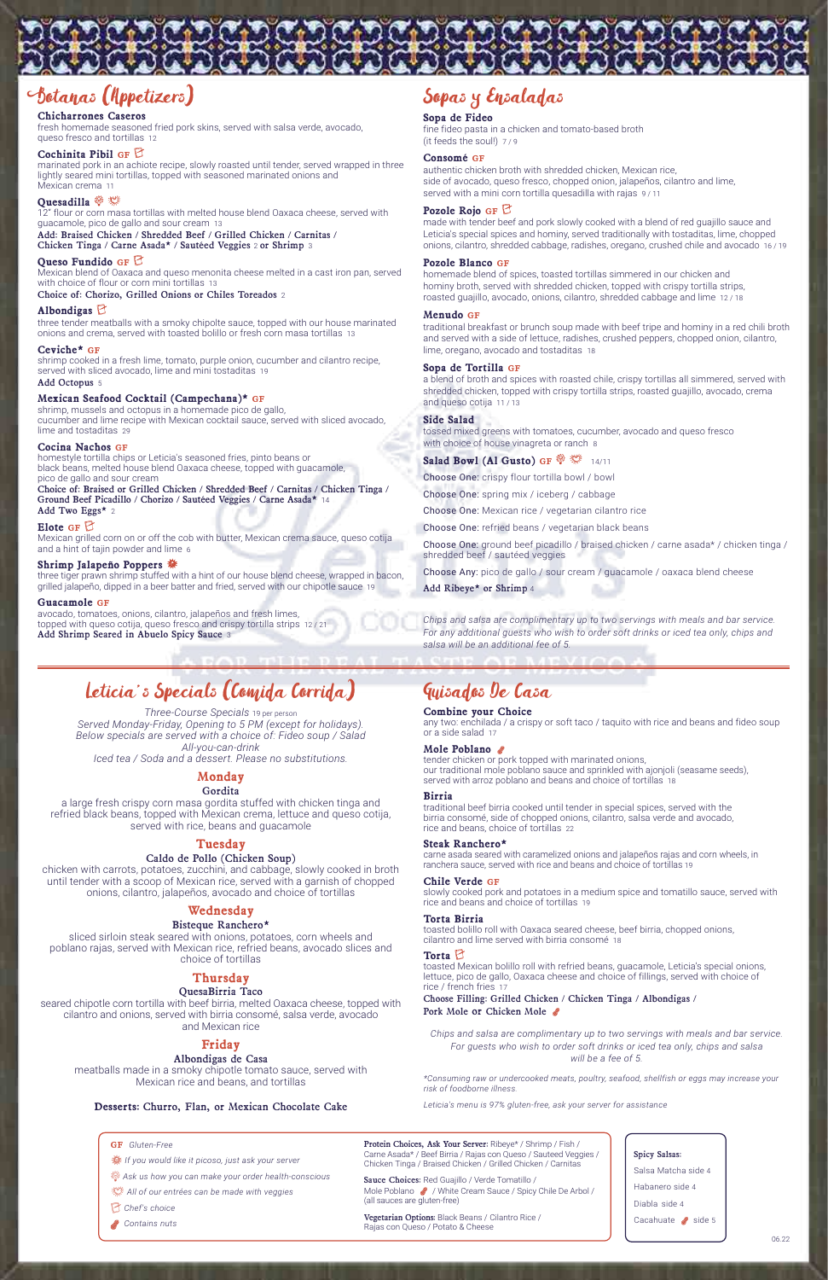# Botanas (Appetizers)

# **Chicharrones Caseros**

fresh homemade seasoned fried pork skins, served with salsa verde, avocado, queso fresco and tortillas 12

# **Cochinita Pibil GF**

marinated pork in an achiote recipe, slowly roasted until tender, served wrapped in three lightly seared mini tortillas, topped with seasoned marinated onions and Mexican crema 11

Mexican blend of Oaxaca and queso menonita cheese melted in a cast iron pan, served with choice of flour or corn mini tortillas 13

# **Quesadilla**

12" flour or corn masa tortillas with melted house blend Oaxaca cheese, served with guacamole, pico de gallo and sour cream 13

Add: Braised Chicken / Shredded Beef / Grilled Chicken / Carnitas / Chicken Tinga / Carne Asada\* / Sautéed Veggies 2 or Shrimp 3

# **Queso Fundido GF**

Choice of: Chorizo, Grilled Onions or Chiles Toreados 2

### **Albondigas**

three tender meatballs with a smoky chipolte sauce, topped with our house marinated onions and crema, served with toasted bolillo or fresh corn masa tortillas 13

#### **Ceviche\* GF**

shrimp cooked in a fresh lime, tomato, purple onion, cucumber and cilantro recipe, served with sliced avocado, lime and mini tostaditas 19 Add Octopus 5

# **Mexican Seafood Cocktail (Campechana)\* GF**

authentic chicken broth with shredded chicken, Mexican rice, side of avocado, queso fresco, chopped onion, jalapeños, cilantro and lime, served with a mini corn tortilla quesadilla with rajas 9/11

shrimp, mussels and octopus in a homemade pico de gallo, cucumber and lime recipe with Mexican cocktail sauce, served with sliced avocado, lime and tostaditas 29

# **Cocina Nachos GF**

homestyle tortilla chips or Leticia's seasoned fries, pinto beans or black beans, melted house blend Oaxaca cheese, topped with guacamole, pico de gallo and sour cream

Choice of: Braised or Grilled Chicken / Shredded Beef / Carnitas / Chicken Tinga / Ground Beef Picadillo / Chorizo / Sautéed Veggies / Carne Asada\* 14 Add Two Eggs\* 2

# **Elote GF**

tossed mixed greens with tomatoes, cucumber, avocado and queso fresco with choice of house vinagreta or ranch 8

**Salad Bowl (Al Gusto) GF**  $\circledR$  14/11

Mexican grilled corn on or off the cob with butter, Mexican crema sauce, queso cotija and a hint of tajin powder and lime 6

# **Shrimp Jalapeño Poppers**

three tiger prawn shrimp stuffed with a hint of our house blend cheese, wrapped in bacon, grilled jalapeño, dipped in a beer batter and fried, served with our chipotle sauce 19

### **Guacamole GF**

avocado, tomatoes, onions, cilantro, jalapeños and fresh limes, topped with queso cotija, queso fresco and crispy tortilla strips 12 / 21 Add Shrimp Seared in Abuelo Spicy Sauce 3

# Sopas y Ensaladas

### **Sopa de Fideo**

AND CATAR SATURA CATAR CATAR CATAR

fine fideo pasta in a chicken and tomato-based broth (it feeds the soul!) 7 / 9

# **Consomé GF**

# **Pozole Rojo GF**

made with tender beef and pork slowly cooked with a blend of red guajillo sauce and Leticia's special spices and hominy, served traditionally with tostaditas, lime, chopped onions, cilantro, shredded cabbage, radishes, oregano, crushed chile and avocado 16 / 19

# **Pozole Blanco GF**

homemade blend of spices, toasted tortillas simmered in our chicken and hominy broth, served with shredded chicken, topped with crispy tortilla strips, roasted guajillo, avocado, onions, cilantro, shredded cabbage and lime 12 / 18

# **Menudo GF**

traditional breakfast or brunch soup made with beef tripe and hominy in a red chili broth and served with a side of lettuce, radishes, crushed peppers, chopped onion, cilantro, lime, oregano, avocado and tostaditas 18

toasted bolillo roll with Oaxaca seared cheese, beef birria, chopped onions, cilantro and lime served with birria consomé

# **Sopa de Tortilla GF**

Choose Filling: Grilled Chicken / Chicken Tinga / Albondigas / Pork Mole or Chicken Mole

a blend of broth and spices with roasted chile, crispy tortillas all simmered, served with shredded chicken, topped with crispy tortilla strips, roasted guajillo, avocado, crema and queso cotija 11 / 13

- t *All of our entrées can be made with veggies*
- C *Chef's choice*
- **C** Contains nuts

# **Side Salad**

Choose One: crispy flour tortilla bowl / bowl

Choose One: spring mix / iceberg / cabbage

Choose One: Mexican rice / vegetarian cilantro rice

Choose One: refried beans / vegetarian black beans

Choose One: ground beef picadillo / braised chicken / carne asada\* / chicken tinga / shredded beef / sautéed veggies

Choose Any: pico de gallo / sour cream / guacamole / oaxaca blend cheese

Add Ribeye\* or Shrimp 4

*Chips and salsa are complimentary up to two servings with meals and bar service. For any additional guests who wish to order soft drinks or iced tea only, chips and salsa will be an additional fee of 5.*

# Leticia's Specials (Comida Corrida)

*Three-Course Specials* 19 per person *Served Monday-Friday, Opening to 5 PM (except for holidays). Below specials are served with a choice of: Fideo soup / Salad All-you-can-drink Iced tea / Soda and a dessert. Please no substitutions.*

# **Monday**

# Gordita

a large fresh crispy corn masa gordita stuffed with chicken tinga and refried black beans, topped with Mexican crema, lettuce and queso cotija, served with rice, beans and guacamole

# **Tuesday**

# Caldo de Pollo (Chicken Soup)

chicken with carrots, potatoes, zucchini, and cabbage, slowly cooked in broth until tender with a scoop of Mexican rice, served with a garnish of chopped onions, cilantro, jalapeños, avocado and choice of tortillas

# **Wednesday**

# Bisteque Ranchero\*

sliced sirloin steak seared with onions, potatoes, corn wheels and

poblano rajas, served with Mexican rice, refried beans, avocado slices and choice of tortillas

# **Thursday**

# QuesaBirria Taco

seared chipotle corn tortilla with beef birria, melted Oaxaca cheese, topped with cilantro and onions, served with birria consomé, salsa verde, avocado and Mexican rice

# **Friday**

# Albondigas de Casa

meatballs made in a smoky chipotle tomato sauce, served with Mexican rice and beans, and tortillas

# **Desserts:** Churro, Flan, or Mexican Chocolate Cake

# Guisados De Casa

# **Combine your Choice**

any two: enchilada / a crispy or soft taco / taquito with rice and beans and fideo soup or a side salad 17

# **Mole Poblano**

tender chicken or pork topped with marinated onions, our traditional mole poblano sauce and sprinkled with ajonjoli (seasame seeds), served with arroz poblano and beans and choice of tortillas 18

### **Birria**

traditional beef birria cooked until tender in special spices, served with the birria consomé, side of chopped onions, cilantro, salsa verde and avocado, rice and beans, choice of tortillas 22

## **Steak Ranchero\***

carne asada seared with caramelized onions and jalapeños rajas and corn wheels, in ranchera sauce, served with rice and beans and choice of tortillas 19

# **Chile Verde GF**

slowly cooked pork and potatoes in a medium spice and tomatillo sauce, served with rice and beans and choice of tortillas 19

# **Torta Birria**

# **Torta**

toasted Mexican bolillo roll with refried beans, guacamole, Leticia's special onions, lettuce, pico de gallo, Oaxaca cheese and choice of fillings, served with choice of rice / french fries 17

## **GF** *Gluten-Free*

8 *If you would like it picoso, just ask your server*

T *Ask us how you can make your order health-conscious*

*\*Consuming raw or undercooked meats, poultry, seafood, shellfish or eggs may increase your risk of foodborne illness.*

*Leticia's menu is 97% gluten-free, ask your server for assistance*

*Chips and salsa are complimentary up to two servings with meals and bar service. For guests who wish to order soft drinks or iced tea only, chips and salsa will be a fee of 5.*

Protein Choices, Ask Your Server: Ribeye\* / Shrimp / Fish / Carne Asada\* / Beef Birria / Rajas con Queso / Sauteed Veggies / Chicken Tinga / Braised Chicken / Grilled Chicken / Carnitas

Sauce Choices: Red Guajillo / Verde Tomatillo / Mole Poblano / White Cream Sauce / Spicy Chile De Arbol / (all sauces are gluten-free)

Vegetarian Options: Black Beans / Cilantro Rice / Rajas con Queso / Potato & Cheese